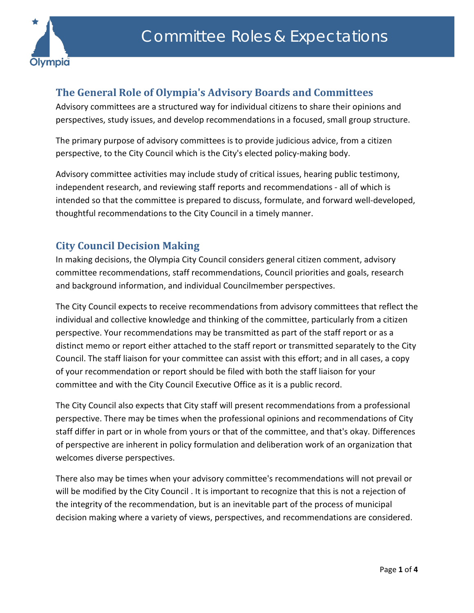

## **The General Role of Olympia's Advisory Boards and Committees**

Advisory committees are a structured way for individual citizens to share their opinions and perspectives, study issues, and develop recommendations in a focused, small group structure.

The primary purpose of advisory committees is to provide judicious advice, from a citizen perspective, to the City Council which is the City's elected policy-making body.

Advisory committee activities may include study of critical issues, hearing public testimony, independent research, and reviewing staff reports and recommendations - all of which is intended so that the committee is prepared to discuss, formulate, and forward well-developed, thoughtful recommendations to the City Council in a timely manner.

## **City Council Decision Making**

In making decisions, the Olympia City Council considers general citizen comment, advisory committee recommendations, staff recommendations, Council priorities and goals, research and background information, and individual Councilmember perspectives.

The City Council expects to receive recommendations from advisory committees that reflect the individual and collective knowledge and thinking of the committee, particularly from a citizen perspective. Your recommendations may be transmitted as part of the staff report or as a distinct memo or report either attached to the staff report or transmitted separately to the City Council. The staff liaison for your committee can assist with this effort; and in all cases, a copy of your recommendation or report should be filed with both the staff liaison for your committee and with the City Council Executive Office as it is a public record.

The City Council also expects that City staff will present recommendations from a professional perspective. There may be times when the professional opinions and recommendations of City staff differ in part or in whole from yours or that of the committee, and that's okay. Differences of perspective are inherent in policy formulation and deliberation work of an organization that welcomes diverse perspectives.

There also may be times when your advisory committee's recommendations will not prevail or will be modified by the City Council . It is important to recognize that this is not a rejection of the integrity of the recommendation, but is an inevitable part of the process of municipal decision making where a variety of views, perspectives, and recommendations are considered.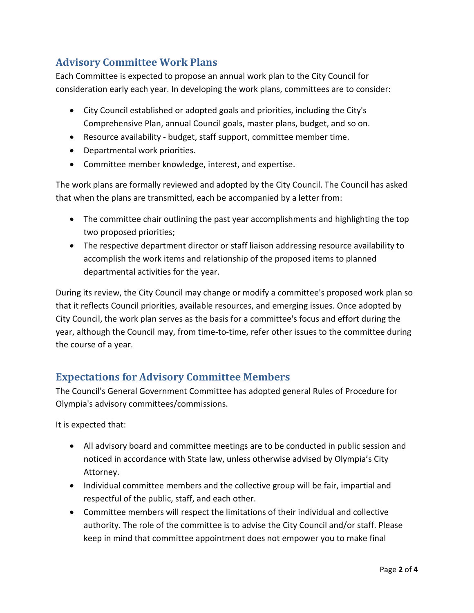## **Advisory Committee Work Plans**

Each Committee is expected to propose an annual work plan to the City Council for consideration early each year. In developing the work plans, committees are to consider:

- City Council established or adopted goals and priorities, including the City's Comprehensive Plan, annual Council goals, master plans, budget, and so on.
- Resource availability budget, staff support, committee member time.
- Departmental work priorities.
- Committee member knowledge, interest, and expertise.

The work plans are formally reviewed and adopted by the City Council. The Council has asked that when the plans are transmitted, each be accompanied by a letter from:

- The committee chair outlining the past year accomplishments and highlighting the top two proposed priorities;
- The respective department director or staff liaison addressing resource availability to accomplish the work items and relationship of the proposed items to planned departmental activities for the year.

During its review, the City Council may change or modify a committee's proposed work plan so that it reflects Council priorities, available resources, and emerging issues. Once adopted by City Council, the work plan serves as the basis for a committee's focus and effort during the year, although the Council may, from time-to-time, refer other issues to the committee during the course of a year.

## **Expectations for Advisory Committee Members**

The Council's General Government Committee has adopted general Rules of Procedure for Olympia's advisory committees/commissions.

It is expected that:

- All advisory board and committee meetings are to be conducted in public session and noticed in accordance with State law, unless otherwise advised by Olympia's City Attorney.
- Individual committee members and the collective group will be fair, impartial and respectful of the public, staff, and each other.
- Committee members will respect the limitations of their individual and collective authority. The role of the committee is to advise the City Council and/or staff. Please keep in mind that committee appointment does not empower you to make final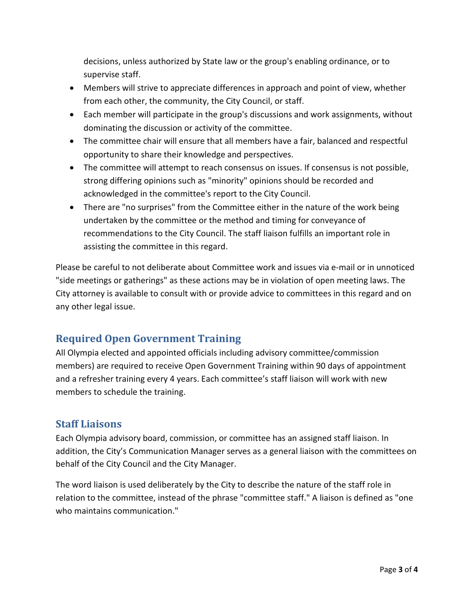decisions, unless authorized by State law or the group's enabling ordinance, or to supervise staff.

- Members will strive to appreciate differences in approach and point of view, whether from each other, the community, the City Council, or staff.
- Each member will participate in the group's discussions and work assignments, without dominating the discussion or activity of the committee.
- The committee chair will ensure that all members have a fair, balanced and respectful opportunity to share their knowledge and perspectives.
- The committee will attempt to reach consensus on issues. If consensus is not possible, strong differing opinions such as "minority" opinions should be recorded and acknowledged in the committee's report to the City Council.
- There are "no surprises" from the Committee either in the nature of the work being undertaken by the committee or the method and timing for conveyance of recommendations to the City Council. The staff liaison fulfills an important role in assisting the committee in this regard.

Please be careful to not deliberate about Committee work and issues via e-mail or in unnoticed "side meetings or gatherings" as these actions may be in violation of open meeting laws. The City attorney is available to consult with or provide advice to committees in this regard and on any other legal issue.

# **Required Open Government Training**

All Olympia elected and appointed officials including advisory committee/commission members) are required to receive Open Government Training within 90 days of appointment and a refresher training every 4 years. Each committee's staff liaison will work with new members to schedule the training.

#### **Staff Liaisons**

Each Olympia advisory board, commission, or committee has an assigned staff liaison. In addition, the City's Communication Manager serves as a general liaison with the committees on behalf of the City Council and the City Manager.

The word liaison is used deliberately by the City to describe the nature of the staff role in relation to the committee, instead of the phrase "committee staff." A liaison is defined as "one who maintains communication."